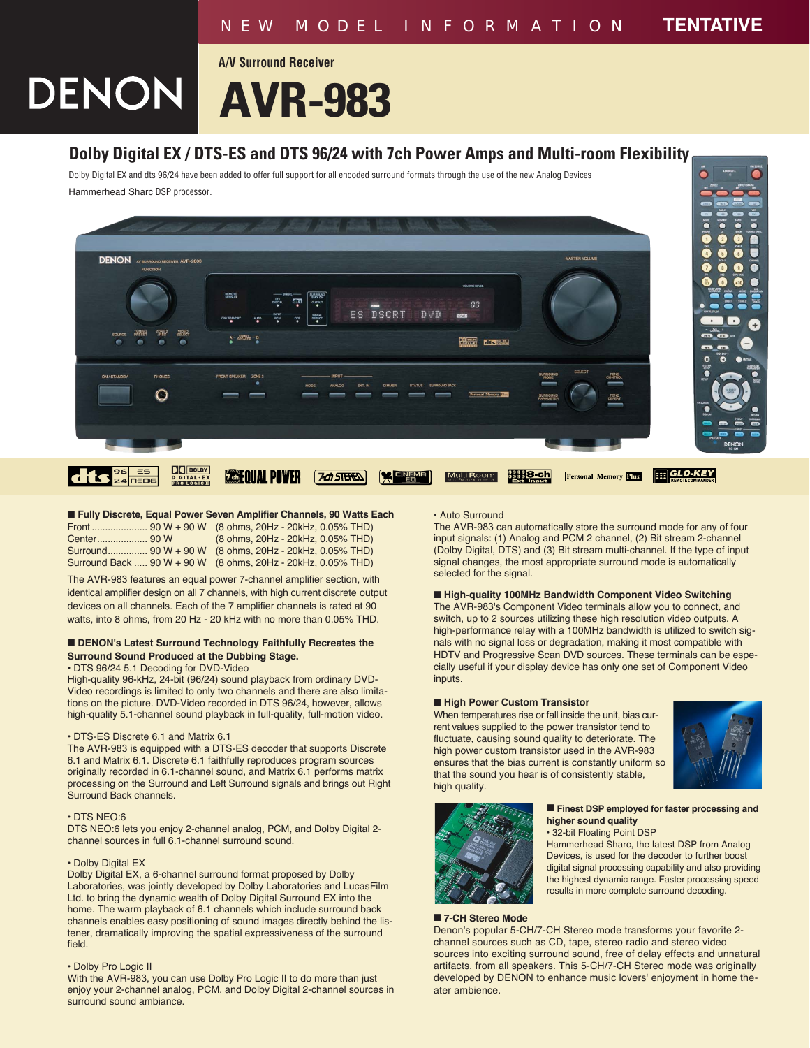# **AVR-983**

**A/V Surround Receiver**



## **Dolby Digital EX / DTS-ES and DTS 96/24 with 7ch Power Amps and Multi-room Flexibility**

Dolby Digital EX and dts 96/24 have been added to offer full support for all encoded surround formats through the use of the new Analog Devices Hammerhead Sharc DSP processor.



■ **Fully Discrete, Equal Power Seven Amplifier Channels, 90 Watts Each** 

|  | (8 ohms, 20Hz - 20kHz, 0.05% THD)                            |
|--|--------------------------------------------------------------|
|  | Surround 90 W + 90 W (8 ohms, 20Hz - 20kHz, 0.05% THD)       |
|  | Surround Back  90 W + 90 W (8 ohms, 20Hz - 20kHz, 0.05% THD) |

The AVR-983 features an equal power 7-channel amplifier section, with identical amplifier design on all 7 channels, with high current discrete output devices on all channels. Each of the 7 amplifier channels is rated at 90 watts, into 8 ohms, from 20 Hz - 20 kHz with no more than 0.05% THD.

#### ■ **DENON's Latest Surround Technology Faithfully Recreates the Surround Sound Produced at the Dubbing Stage.**

• DTS 96/24 5.1 Decoding for DVD-Video

High-quality 96-kHz, 24-bit (96/24) sound playback from ordinary DVD-Video recordings is limited to only two channels and there are also limitations on the picture. DVD-Video recorded in DTS 96/24, however, allows high-quality 5.1-channel sound playback in full-quality, full-motion video.

#### • DTS-ES Discrete 6.1 and Matrix 6.1

The AVR-983 is equipped with a DTS-ES decoder that supports Discrete 6.1 and Matrix 6.1. Discrete 6.1 faithfully reproduces program sources originally recorded in 6.1-channel sound, and Matrix 6.1 performs matrix processing on the Surround and Left Surround signals and brings out Right Surround Back channels.

#### • DTS NEO:6

DTS NEO:6 lets you enjoy 2-channel analog, PCM, and Dolby Digital 2 channel sources in full 6.1-channel surround sound.

#### • Dolby Digital EX

Dolby Digital EX, a 6-channel surround format proposed by Dolby Laboratories, was jointly developed by Dolby Laboratories and LucasFilm Ltd. to bring the dynamic wealth of Dolby Digital Surround EX into the home. The warm playback of 6.1 channels which include surround back channels enables easy positioning of sound images directly behind the listener, dramatically improving the spatial expressiveness of the surround field.

#### • Dolby Pro Logic II

With the AVR-983, you can use Dolby Pro Logic II to do more than just enjoy your 2-channel analog, PCM, and Dolby Digital 2-channel sources in surround sound ambiance.

### • Auto Surround

The AVR-983 can automatically store the surround mode for any of four input signals: (1) Analog and PCM 2 channel, (2) Bit stream 2-channel (Dolby Digital, DTS) and (3) Bit stream multi-channel. If the type of input signal changes, the most appropriate surround mode is automatically selected for the signal.

#### ■ **High-quality 100MHz Bandwidth Component Video Switching**

The AVR-983's Component Video terminals allow you to connect, and switch, up to 2 sources utilizing these high resolution video outputs. A high-performance relay with a 100MHz bandwidth is utilized to switch signals with no signal loss or degradation, making it most compatible with HDTV and Progressive Scan DVD sources. These terminals can be especially useful if your display device has only one set of Component Video inputs.

#### ■ **High Power Custom Transistor**

When temperatures rise or fall inside the unit, bias current values supplied to the power transistor tend to fluctuate, causing sound quality to deteriorate. The high power custom transistor used in the AVR-983 ensures that the bias current is constantly uniform so that the sound you hear is of consistently stable, high quality.





#### ■ **Finest DSP employed for faster processing and higher sound quality** • 32-bit Floating Point DSP

Hammerhead Sharc, the latest DSP from Analog Devices, is used for the decoder to further boost digital signal processing capability and also providing the highest dynamic range. Faster processing speed results in more complete surround decoding.

#### ■ 7-CH Stereo Mode

Denon's popular 5-CH/7-CH Stereo mode transforms your favorite 2 channel sources such as CD, tape, stereo radio and stereo video sources into exciting surround sound, free of delay effects and unnatural artifacts, from all speakers. This 5-CH/7-CH Stereo mode was originally developed by DENON to enhance music lovers' enjoyment in home theater ambience.